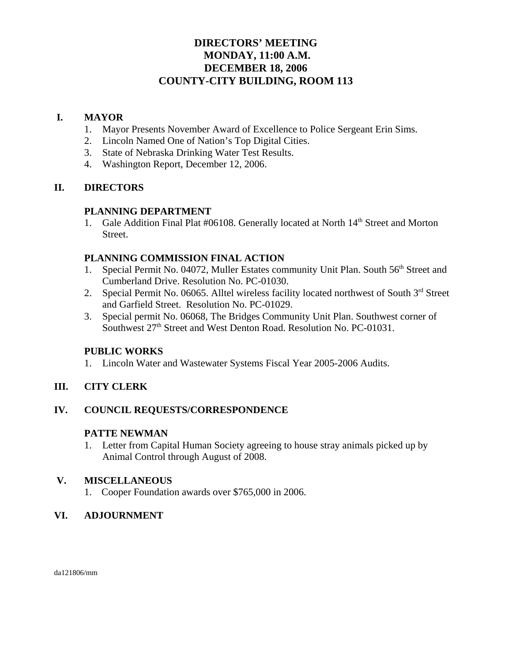# **DIRECTORS' MEETING MONDAY, 11:00 A.M. DECEMBER 18, 2006 COUNTY-CITY BUILDING, ROOM 113**

## **I. MAYOR**

- 1. Mayor Presents November Award of Excellence to Police Sergeant Erin Sims.
- 2. Lincoln Named One of Nation's Top Digital Cities.
- 3. State of Nebraska Drinking Water Test Results.
- 4. Washington Report, December 12, 2006.

## **II. DIRECTORS**

## **PLANNING DEPARTMENT**

1. Gale Addition Final Plat #06108. Generally located at North 14<sup>th</sup> Street and Morton Street.

## **PLANNING COMMISSION FINAL ACTION**

- 1. Special Permit No. 04072, Muller Estates community Unit Plan. South 56<sup>th</sup> Street and Cumberland Drive. Resolution No. PC-01030.
- 2. Special Permit No. 06065. Alltel wireless facility located northwest of South 3<sup>rd</sup> Street and Garfield Street. Resolution No. PC-01029.
- 3. Special permit No. 06068, The Bridges Community Unit Plan. Southwest corner of Southwest 27<sup>th</sup> Street and West Denton Road. Resolution No. PC-01031.

## **PUBLIC WORKS**

1. Lincoln Water and Wastewater Systems Fiscal Year 2005-2006 Audits.

## **III. CITY CLERK**

## **IV. COUNCIL REQUESTS/CORRESPONDENCE**

## **PATTE NEWMAN**

1. Letter from Capital Human Society agreeing to house stray animals picked up by Animal Control through August of 2008.

## **V. MISCELLANEOUS**

1. Cooper Foundation awards over \$765,000 in 2006.

## **VI. ADJOURNMENT**

da121806/mm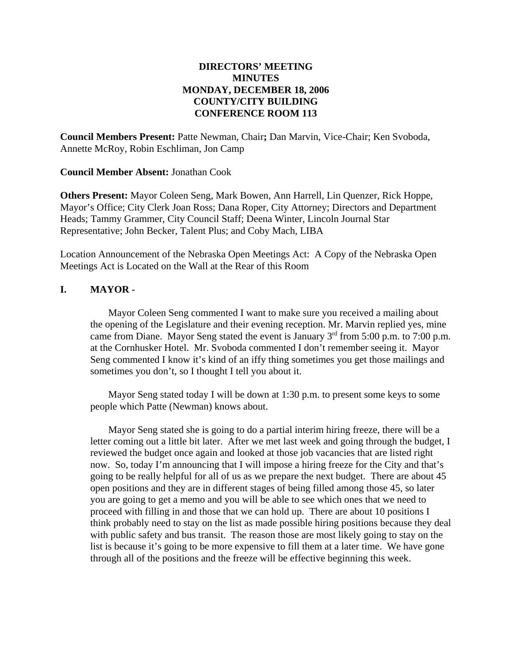### **DIRECTORS' MEETING MINUTES MONDAY, DECEMBER 18, 2006 COUNTY/CITY BUILDING CONFERENCE ROOM 113**

**Council Members Present:** Patte Newman, Chair**;** Dan Marvin, Vice-Chair; Ken Svoboda, Annette McRoy, Robin Eschliman, Jon Camp

**Council Member Absent:** Jonathan Cook

**Others Present:** Mayor Coleen Seng, Mark Bowen, Ann Harrell, Lin Quenzer, Rick Hoppe, Mayor's Office; City Clerk Joan Ross; Dana Roper, City Attorney; Directors and Department Heads; Tammy Grammer, City Council Staff; Deena Winter, Lincoln Journal Star Representative; John Becker, Talent Plus; and Coby Mach, LIBA

Location Announcement of the Nebraska Open Meetings Act: A Copy of the Nebraska Open Meetings Act is Located on the Wall at the Rear of this Room

### **I. MAYOR -**

Mayor Coleen Seng commented I want to make sure you received a mailing about the opening of the Legislature and their evening reception. Mr. Marvin replied yes, mine came from Diane. Mayor Seng stated the event is January  $3<sup>rd</sup>$  from 5:00 p.m. to 7:00 p.m. at the Cornhusker Hotel. Mr. Svoboda commented I don't remember seeing it. Mayor Seng commented I know it's kind of an iffy thing sometimes you get those mailings and sometimes you don't, so I thought I tell you about it.

Mayor Seng stated today I will be down at 1:30 p.m. to present some keys to some people which Patte (Newman) knows about.

Mayor Seng stated she is going to do a partial interim hiring freeze, there will be a letter coming out a little bit later. After we met last week and going through the budget, I reviewed the budget once again and looked at those job vacancies that are listed right now. So, today I'm announcing that I will impose a hiring freeze for the City and that's going to be really helpful for all of us as we prepare the next budget. There are about 45 open positions and they are in different stages of being filled among those 45, so later you are going to get a memo and you will be able to see which ones that we need to proceed with filling in and those that we can hold up. There are about 10 positions I think probably need to stay on the list as made possible hiring positions because they deal with public safety and bus transit. The reason those are most likely going to stay on the list is because it's going to be more expensive to fill them at a later time. We have gone through all of the positions and the freeze will be effective beginning this week.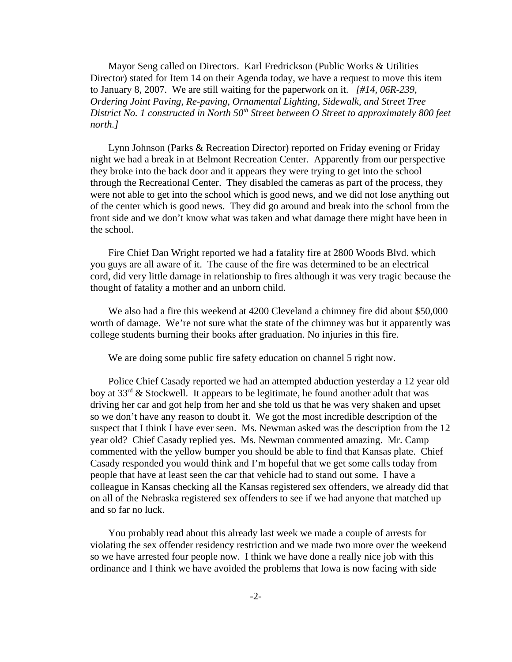Mayor Seng called on Directors. Karl Fredrickson (Public Works & Utilities Director) stated for Item 14 on their Agenda today, we have a request to move this item to January 8, 2007. We are still waiting for the paperwork on it. *[#14, 06R-239, Ordering Joint Paving, Re-paving, Ornamental Lighting, Sidewalk, and Street Tree District No. 1 constructed in North 50<sup>th</sup> Street between O Street to approximately 800 feet north.]* 

Lynn Johnson (Parks & Recreation Director) reported on Friday evening or Friday night we had a break in at Belmont Recreation Center. Apparently from our perspective they broke into the back door and it appears they were trying to get into the school through the Recreational Center. They disabled the cameras as part of the process, they were not able to get into the school which is good news, and we did not lose anything out of the center which is good news. They did go around and break into the school from the front side and we don't know what was taken and what damage there might have been in the school.

Fire Chief Dan Wright reported we had a fatality fire at 2800 Woods Blvd. which you guys are all aware of it. The cause of the fire was determined to be an electrical cord, did very little damage in relationship to fires although it was very tragic because the thought of fatality a mother and an unborn child.

We also had a fire this weekend at 4200 Cleveland a chimney fire did about \$50,000 worth of damage. We're not sure what the state of the chimney was but it apparently was college students burning their books after graduation. No injuries in this fire.

We are doing some public fire safety education on channel 5 right now.

Police Chief Casady reported we had an attempted abduction yesterday a 12 year old boy at  $33<sup>rd</sup>$  & Stockwell. It appears to be legitimate, he found another adult that was driving her car and got help from her and she told us that he was very shaken and upset so we don't have any reason to doubt it. We got the most incredible description of the suspect that I think I have ever seen. Ms. Newman asked was the description from the 12 year old? Chief Casady replied yes. Ms. Newman commented amazing. Mr. Camp commented with the yellow bumper you should be able to find that Kansas plate. Chief Casady responded you would think and I'm hopeful that we get some calls today from people that have at least seen the car that vehicle had to stand out some. I have a colleague in Kansas checking all the Kansas registered sex offenders, we already did that on all of the Nebraska registered sex offenders to see if we had anyone that matched up and so far no luck.

You probably read about this already last week we made a couple of arrests for violating the sex offender residency restriction and we made two more over the weekend so we have arrested four people now. I think we have done a really nice job with this ordinance and I think we have avoided the problems that Iowa is now facing with side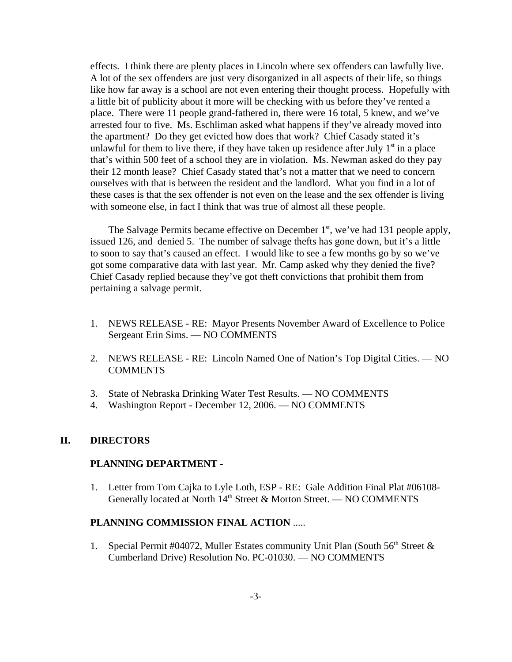effects. I think there are plenty places in Lincoln where sex offenders can lawfully live. A lot of the sex offenders are just very disorganized in all aspects of their life, so things like how far away is a school are not even entering their thought process. Hopefully with a little bit of publicity about it more will be checking with us before they've rented a place. There were 11 people grand-fathered in, there were 16 total, 5 knew, and we've arrested four to five. Ms. Eschliman asked what happens if they've already moved into the apartment? Do they get evicted how does that work? Chief Casady stated it's unlawful for them to live there, if they have taken up residence after July  $1<sup>st</sup>$  in a place that's within 500 feet of a school they are in violation. Ms. Newman asked do they pay their 12 month lease? Chief Casady stated that's not a matter that we need to concern ourselves with that is between the resident and the landlord. What you find in a lot of these cases is that the sex offender is not even on the lease and the sex offender is living with someone else, in fact I think that was true of almost all these people.

The Salvage Permits became effective on December  $1<sup>st</sup>$ , we've had 131 people apply, issued 126, and denied 5. The number of salvage thefts has gone down, but it's a little to soon to say that's caused an effect. I would like to see a few months go by so we've got some comparative data with last year. Mr. Camp asked why they denied the five? Chief Casady replied because they've got theft convictions that prohibit them from pertaining a salvage permit.

- 1. NEWS RELEASE RE: Mayor Presents November Award of Excellence to Police Sergeant Erin Sims. — NO COMMENTS
- 2. NEWS RELEASE RE: Lincoln Named One of Nation's Top Digital Cities. NO **COMMENTS**
- 3. State of Nebraska Drinking Water Test Results. NO COMMENTS
- 4. Washington Report December 12, 2006. NO COMMENTS

#### **II. DIRECTORS**

#### **PLANNING DEPARTMENT** -

1. Letter from Tom Cajka to Lyle Loth, ESP - RE: Gale Addition Final Plat #06108- Generally located at North 14<sup>th</sup> Street & Morton Street. — NO COMMENTS

#### **PLANNING COMMISSION FINAL ACTION** .....

1. Special Permit #04072, Muller Estates community Unit Plan (South  $56<sup>th</sup>$  Street  $\&$ Cumberland Drive) Resolution No. PC-01030. — NO COMMENTS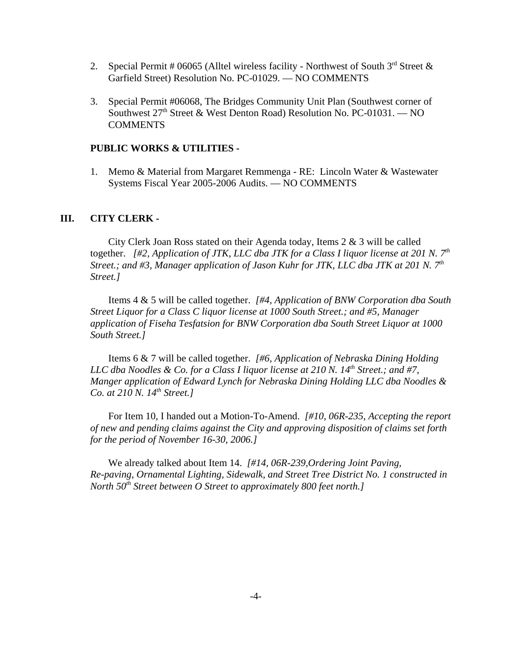- 2. Special Permit # 06065 (Alltel wireless facility Northwest of South  $3<sup>rd</sup>$  Street & Garfield Street) Resolution No. PC-01029. — NO COMMENTS
- 3. Special Permit #06068, The Bridges Community Unit Plan (Southwest corner of Southwest  $27<sup>th</sup>$  Street & West Denton Road) Resolution No. PC-01031. — NO **COMMENTS**

#### **PUBLIC WORKS & UTILITIES -**

1. Memo & Material from Margaret Remmenga - RE: Lincoln Water & Wastewater Systems Fiscal Year 2005-2006 Audits. — NO COMMENTS

#### **III. CITY CLERK -**

City Clerk Joan Ross stated on their Agenda today, Items  $2 \& 3$  will be called together. *[#2, Application of JTK, LLC dba JTK for a Class I liquor license at 201 N. 7th Street.; and #3, Manager application of Jason Kuhr for JTK, LLC dba JTK at 201 N. 7th Street.]* 

Items 4 & 5 will be called together. *[#4, Application of BNW Corporation dba South Street Liquor for a Class C liquor license at 1000 South Street.; and #5, Manager application of Fiseha Tesfatsion for BNW Corporation dba South Street Liquor at 1000 South Street.]*

Items 6 & 7 will be called together. *[#6, Application of Nebraska Dining Holding LLC dba Noodles & Co. for a Class I liquor license at 210 N. 14th Street.; and #7, Manger application of Edward Lynch for Nebraska Dining Holding LLC dba Noodles & Co. at 210 N. 14th Street.]*

For Item 10, I handed out a Motion-To-Amend. *[#10, 06R-235, Accepting the report of new and pending claims against the City and approving disposition of claims set forth for the period of November 16-30, 2006.]* 

We already talked about Item 14. *[#14, 06R-239,Ordering Joint Paving, Re-paving, Ornamental Lighting, Sidewalk, and Street Tree District No. 1 constructed in North* 50<sup>th</sup> Street between O Street to approximately 800 feet north.]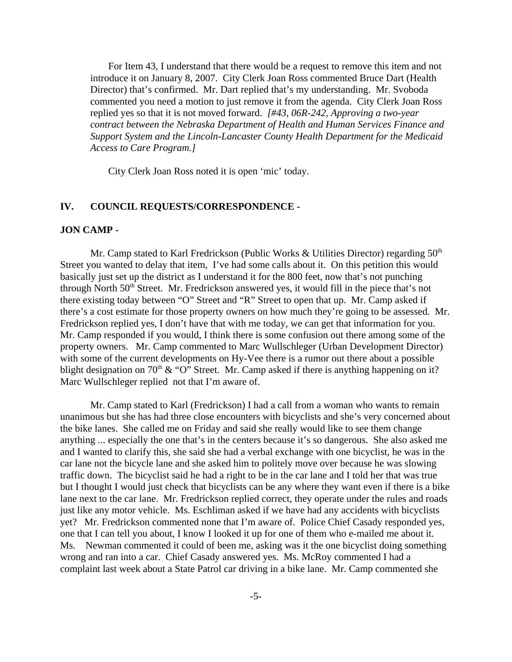For Item 43, I understand that there would be a request to remove this item and not introduce it on January 8, 2007. City Clerk Joan Ross commented Bruce Dart (Health Director) that's confirmed. Mr. Dart replied that's my understanding. Mr. Svoboda commented you need a motion to just remove it from the agenda. City Clerk Joan Ross replied yes so that it is not moved forward. *[#43, 06R-242, Approving a two-year contract between the Nebraska Department of Health and Human Services Finance and Support System and the Lincoln-Lancaster County Health Department for the Medicaid Access to Care Program.]* 

City Clerk Joan Ross noted it is open 'mic' today.

#### **IV. COUNCIL REQUESTS/CORRESPONDENCE -**

#### **JON CAMP -**

Mr. Camp stated to Karl Fredrickson (Public Works & Utilities Director) regarding  $50<sup>th</sup>$ Street you wanted to delay that item, I've had some calls about it. On this petition this would basically just set up the district as I understand it for the 800 feet, now that's not punching through North 50<sup>th</sup> Street. Mr. Fredrickson answered yes, it would fill in the piece that's not there existing today between "O" Street and "R" Street to open that up. Mr. Camp asked if there's a cost estimate for those property owners on how much they're going to be assessed. Mr. Fredrickson replied yes, I don't have that with me today, we can get that information for you. Mr. Camp responded if you would, I think there is some confusion out there among some of the property owners. Mr. Camp commented to Marc Wullschleger (Urban Development Director) with some of the current developments on Hy-Vee there is a rumor out there about a possible blight designation on 70<sup>th</sup> & "O" Street. Mr. Camp asked if there is anything happening on it? Marc Wullschleger replied not that I'm aware of.

Mr. Camp stated to Karl (Fredrickson) I had a call from a woman who wants to remain unanimous but she has had three close encounters with bicyclists and she's very concerned about the bike lanes. She called me on Friday and said she really would like to see them change anything ... especially the one that's in the centers because it's so dangerous. She also asked me and I wanted to clarify this, she said she had a verbal exchange with one bicyclist, he was in the car lane not the bicycle lane and she asked him to politely move over because he was slowing traffic down. The bicyclist said he had a right to be in the car lane and I told her that was true but I thought I would just check that bicyclists can be any where they want even if there is a bike lane next to the car lane. Mr. Fredrickson replied correct, they operate under the rules and roads just like any motor vehicle. Ms. Eschliman asked if we have had any accidents with bicyclists yet? Mr. Fredrickson commented none that I'm aware of. Police Chief Casady responded yes, one that I can tell you about, I know I looked it up for one of them who e-mailed me about it. Ms. Newman commented it could of been me, asking was it the one bicyclist doing something wrong and ran into a car. Chief Casady answered yes. Ms. McRoy commented I had a complaint last week about a State Patrol car driving in a bike lane. Mr. Camp commented she